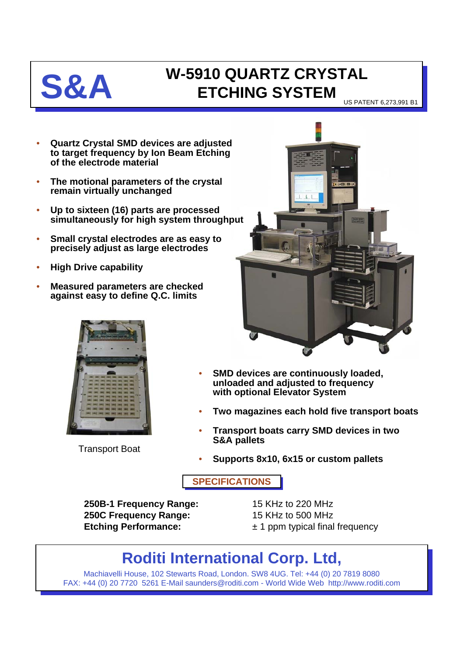

## **S&A W-5910 QUARTZ CRYSTAL ETCHING SYSTEM**

US PATENT 6,273,991 B1

- **Quartz Crystal SMD devices are adjusted to target frequency by Ion Beam Etching of the electrode material**
- **The motional parameters of the crystal remain virtually unchanged**
- **Up to sixteen (16) parts are processed simultaneously for high system throughput**
- **Small crystal electrodes are as easy to precisely adjust as large electrodes**
- **High Drive capability**
- **Measured parameters are checked against easy to define Q.C. limits**



Transport Boat



- **SMD devices are continuously loaded, unloaded and adjusted to frequency with optional Elevator System**
- **Two magazines each hold five transport boats**
- **Transport boats carry SMD devices in two S&A pallets**
- **Supports 8x10, 6x15 or custom pallets**

**SPECIFICATIONS**

**250B-1 Frequency Range:** 15 KHz to 220 MHz **250C Frequency Range:** 15 KHz to 500 MHz

**Etching Performance:**  $\pm 1$  ppm typical final frequency

## **Roditi International Corp. Ltd,**

Machiavelli House, 102 Stewarts Road, London. SW8 4UG. Tel: +44 (0) 20 7819 8080 FAX: +44 (0) 20 7720 5261 E-Mail saunders@roditi.com - World Wide Web http://www.roditi.com